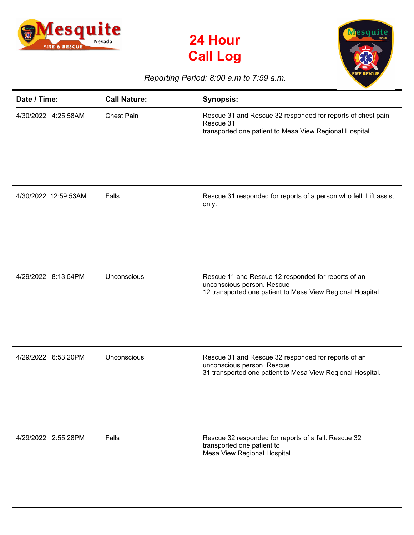





## *Reporting Period: 8:00 a.m to 7:59 a.m.*

| Date / Time:         | <b>Call Nature:</b> | <b>Synopsis:</b>                                                                                                                                |
|----------------------|---------------------|-------------------------------------------------------------------------------------------------------------------------------------------------|
| 4/30/2022 4:25:58AM  | <b>Chest Pain</b>   | Rescue 31 and Rescue 32 responded for reports of chest pain.<br>Rescue 31<br>transported one patient to Mesa View Regional Hospital.            |
| 4/30/2022 12:59:53AM | Falls               | Rescue 31 responded for reports of a person who fell. Lift assist<br>only.                                                                      |
| 4/29/2022 8:13:54PM  | Unconscious         | Rescue 11 and Rescue 12 responded for reports of an<br>unconscious person. Rescue<br>12 transported one patient to Mesa View Regional Hospital. |
| 4/29/2022 6:53:20PM  | Unconscious         | Rescue 31 and Rescue 32 responded for reports of an<br>unconscious person. Rescue<br>31 transported one patient to Mesa View Regional Hospital. |
| 4/29/2022 2:55:28PM  | Falls               | Rescue 32 responded for reports of a fall. Rescue 32<br>transported one patient to<br>Mesa View Regional Hospital.                              |